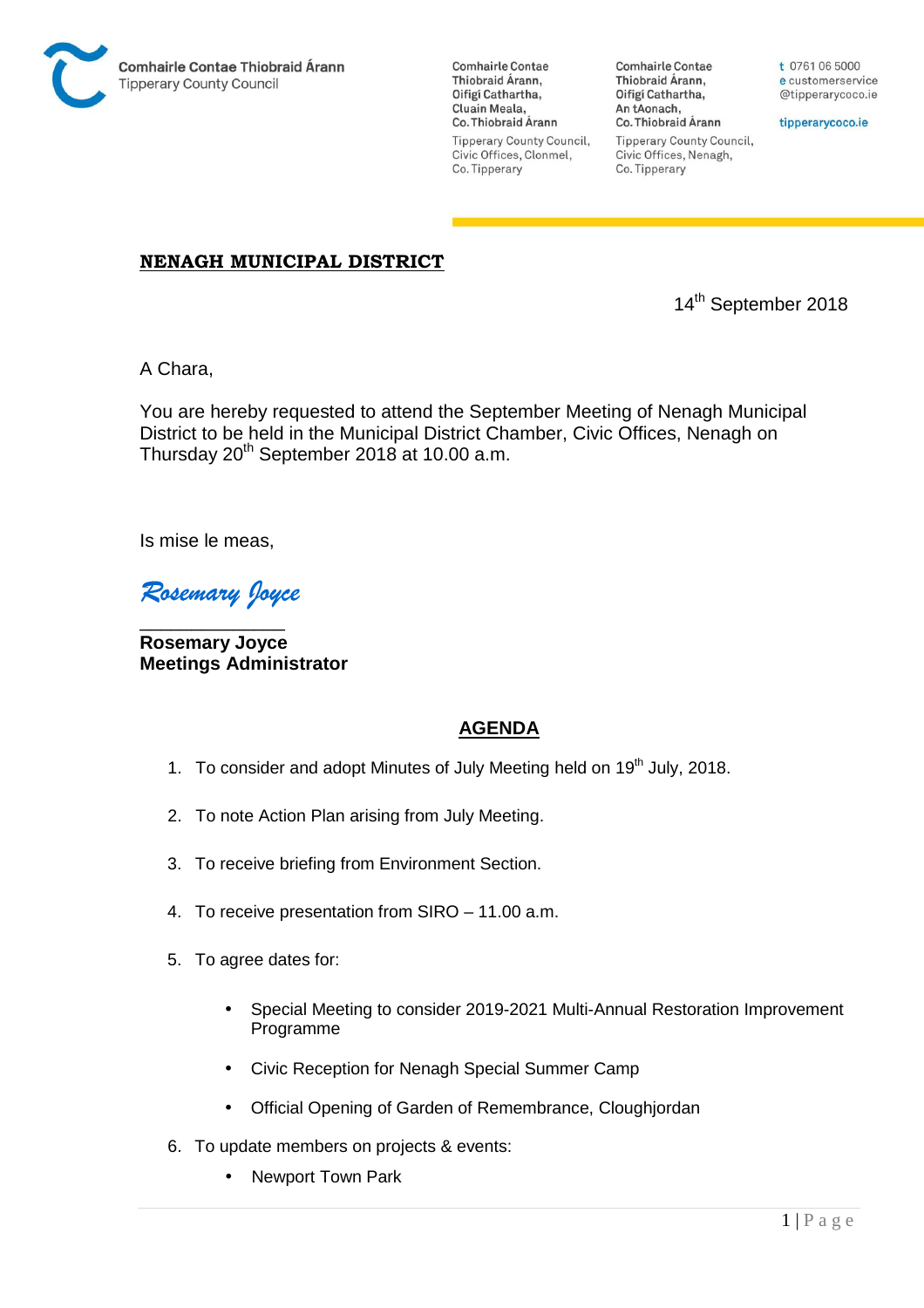

**Comhairle Contae** Thiobraid Árann, Oifigí Cathartha, Cluain Meala, Co. Thiobraid Árann **Tipperary County Council,** Civic Offices, Clonmel, Co. Tipperary

**Comhairle Contae** Thiobraid Árann, Oifigí Cathartha, An tAonach, Co. Thiobraid Árann **Tipperary County Council,** Civic Offices, Nenagh, Co. Tipperary

t 0761 06 5000 e customerservice @tipperarycoco.ie

tipperarycoco.ie

## **NENAGH MUNICIPAL DISTRICT**

14th September 2018

A Chara,

You are hereby requested to attend the September Meeting of Nenagh Municipal District to be held in the Municipal District Chamber, Civic Offices, Nenagh on Thursday 20<sup>th</sup> September 2018 at 10.00 a.m.

Is mise le meas,

*Rosemary Joyce* 

\_\_\_\_\_\_\_\_\_\_\_\_\_\_ **Rosemary Joyce Meetings Administrator** 

## **AGENDA**

- 1. To consider and adopt Minutes of July Meeting held on 19<sup>th</sup> July, 2018.
- 2. To note Action Plan arising from July Meeting.
- 3. To receive briefing from Environment Section.
- 4. To receive presentation from SIRO 11.00 a.m.
- 5. To agree dates for:
	- Special Meeting to consider 2019-2021 Multi-Annual Restoration Improvement Programme
	- Civic Reception for Nenagh Special Summer Camp
	- Official Opening of Garden of Remembrance, Cloughjordan
- 6. To update members on projects & events:
	- Newport Town Park